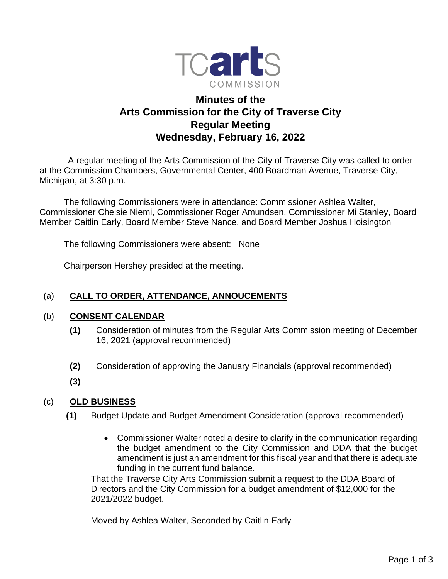

# **Minutes of the Arts Commission for the City of Traverse City Regular Meeting Wednesday, February 16, 2022**

 A regular meeting of the Arts Commission of the City of Traverse City was called to order at the Commission Chambers, Governmental Center, 400 Boardman Avenue, Traverse City, Michigan, at 3:30 p.m.

The following Commissioners were in attendance: Commissioner Ashlea Walter, Commissioner Chelsie Niemi, Commissioner Roger Amundsen, Commissioner Mi Stanley, Board Member Caitlin Early, Board Member Steve Nance, and Board Member Joshua Hoisington

The following Commissioners were absent: None

Chairperson Hershey presided at the meeting.

# (a) **CALL TO ORDER, ATTENDANCE, ANNOUCEMENTS**

#### (b) **CONSENT CALENDAR**

- **(1)** Consideration of minutes from the Regular Arts Commission meeting of December 16, 2021 (approval recommended)
- **(2)** Consideration of approving the January Financials (approval recommended)
- **(3)**

# (c) **OLD BUSINESS**

- **(1)** Budget Update and Budget Amendment Consideration (approval recommended)
	- Commissioner Walter noted a desire to clarify in the communication regarding the budget amendment to the City Commission and DDA that the budget amendment is just an amendment for this fiscal year and that there is adequate funding in the current fund balance.

That the Traverse City Arts Commission submit a request to the DDA Board of Directors and the City Commission for a budget amendment of \$12,000 for the 2021/2022 budget.

Moved by Ashlea Walter, Seconded by Caitlin Early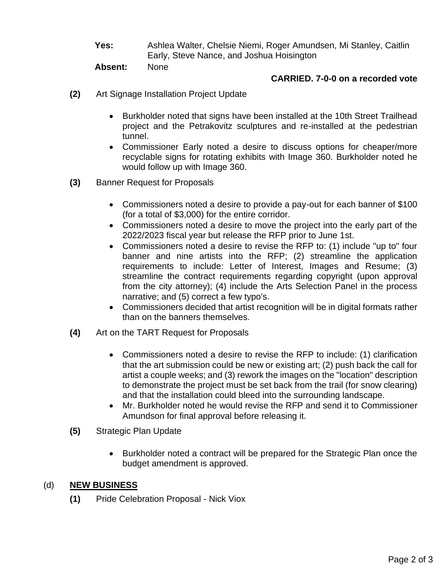**Yes:** Ashlea Walter, Chelsie Niemi, Roger Amundsen, Mi Stanley, Caitlin Early, Steve Nance, and Joshua Hoisington

**Absent:** None

#### **CARRIED. 7-0-0 on a recorded vote**

- **(2)** Art Signage Installation Project Update
	- Burkholder noted that signs have been installed at the 10th Street Trailhead project and the Petrakovitz sculptures and re-installed at the pedestrian tunnel.
	- Commissioner Early noted a desire to discuss options for cheaper/more recyclable signs for rotating exhibits with Image 360. Burkholder noted he would follow up with Image 360.
- **(3)** Banner Request for Proposals
	- Commissioners noted a desire to provide a pay-out for each banner of \$100 (for a total of \$3,000) for the entire corridor.
	- Commissioners noted a desire to move the project into the early part of the 2022/2023 fiscal year but release the RFP prior to June 1st.
	- Commissioners noted a desire to revise the RFP to: (1) include "up to" four banner and nine artists into the RFP; (2) streamline the application requirements to include: Letter of Interest, Images and Resume; (3) streamline the contract requirements regarding copyright (upon approval from the city attorney); (4) include the Arts Selection Panel in the process narrative; and (5) correct a few typo's.
	- Commissioners decided that artist recognition will be in digital formats rather than on the banners themselves.
- **(4)** Art on the TART Request for Proposals
	- Commissioners noted a desire to revise the RFP to include: (1) clarification that the art submission could be new or existing art; (2) push back the call for artist a couple weeks; and (3) rework the images on the "location" description to demonstrate the project must be set back from the trail (for snow clearing) and that the installation could bleed into the surrounding landscape.
	- Mr. Burkholder noted he would revise the RFP and send it to Commissioner Amundson for final approval before releasing it.
- **(5)** Strategic Plan Update
	- Burkholder noted a contract will be prepared for the Strategic Plan once the budget amendment is approved.

#### (d) **NEW BUSINESS**

**(1)** Pride Celebration Proposal - Nick Viox